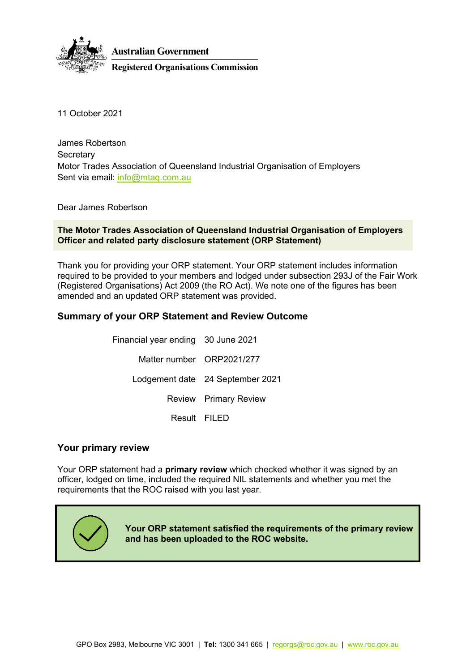

11 October 2021

James Robertson **Secretary** Motor Trades Association of Queensland Industrial Organisation of Employers Sent via email: [info@mtaq.com.au](mailto:info@mtaq.com.au)

Dear James Robertson

**The Motor Trades Association of Queensland Industrial Organisation of Employers Officer and related party disclosure statement (ORP Statement)**

Thank you for providing your ORP statement. Your ORP statement includes information required to be provided to your members and lodged under subsection 293J of the Fair Work (Registered Organisations) Act 2009 (the RO Act). We note one of the figures has been amended and an updated ORP statement was provided.

## **Summary of your ORP Statement and Review Outcome**

Financial year ending 30 June 2021 Matter number ORP2021/277 Lodgement date 24 September 2021 Review Primary Review Result FILED

#### **Your primary review**

Your ORP statement had a **primary review** which checked whether it was signed by an officer, lodged on time, included the required NIL statements and whether you met the requirements that the ROC raised with you last year.



**Your ORP statement satisfied the requirements of the primary review and has been uploaded to the ROC website.**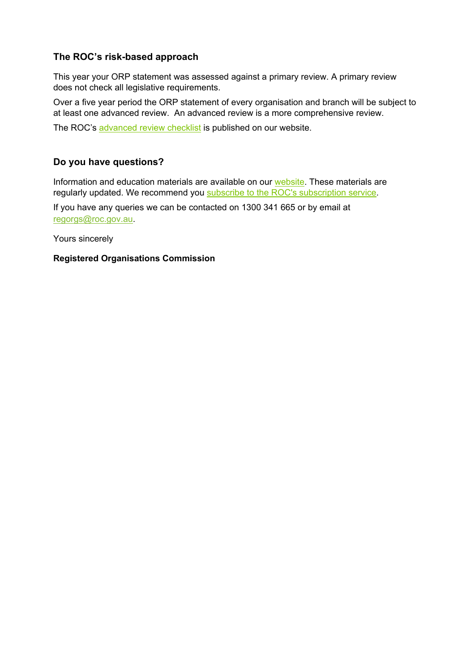## **The ROC's risk-based approach**

This year your ORP statement was assessed against a primary review. A primary review does not check all legislative requirements.

Over a five year period the ORP statement of every organisation and branch will be subject to at least one advanced review. An advanced review is a more comprehensive review.

The ROC's [advanced review checklist](https://www.roc.gov.au/ArticleDocuments/427/cl012A-orp-checklist%20advanced.docx.aspx) is published on our website.

## **Do you have questions?**

Information and education materials are available on our [website.](https://www.roc.gov.au/) These materials are regularly updated. We recommend you [subscribe to the ROC's subscription service.](https://www.roc.gov.au/global/featured-content/website-information/email-updates)

If you have any queries we can be contacted on 1300 341 665 or by email at [regorgs@roc.gov.au.](mailto:regorgs@roc.gov.au)

Yours sincerely

#### **Registered Organisations Commission**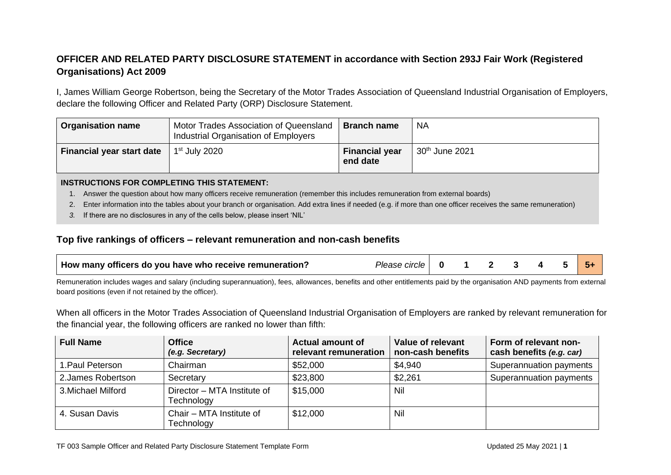# **OFFICER AND RELATED PARTY DISCLOSURE STATEMENT in accordance with Section 293J Fair Work (Registered Organisations) Act 2009**

I, James William George Robertson, being the Secretary of the Motor Trades Association of Queensland Industrial Organisation of Employers, declare the following Officer and Related Party (ORP) Disclosure Statement.

| <b>Organisation name</b>  | Motor Trades Association of Queensland<br>Industrial Organisation of Employers | <b>Branch name</b>                | <b>NA</b>                  |
|---------------------------|--------------------------------------------------------------------------------|-----------------------------------|----------------------------|
| Financial year start date | 1st July 2020                                                                  | <b>Financial year</b><br>end date | 30 <sup>th</sup> June 2021 |

#### **INSTRUCTIONS FOR COMPLETING THIS STATEMENT:**

- 1. Answer the question about how many officers receive remuneration (remember this includes remuneration from external boards)
- 2. Enter information into the tables about your branch or organisation. Add extra lines if needed (e.g. if more than one officer receives the same remuneration)
- *3.* If there are no disclosures in any of the cells below, please insert 'NIL'

### **Top five rankings of officers – relevant remuneration and non-cash benefits**

| How many officers do you have who receive remuneration? | Please circle I |  |  |  |  |  |  |  |
|---------------------------------------------------------|-----------------|--|--|--|--|--|--|--|
|---------------------------------------------------------|-----------------|--|--|--|--|--|--|--|

Remuneration includes wages and salary (including superannuation), fees, allowances, benefits and other entitlements paid by the organisation AND payments from external board positions (even if not retained by the officer).

When all officers in the Motor Trades Association of Queensland Industrial Organisation of Employers are ranked by relevant remuneration for the financial year, the following officers are ranked no lower than fifth:

| <b>Full Name</b>   | <b>Office</b><br>(e.g. Secretary)         | <b>Actual amount of</b><br>relevant remuneration | Value of relevant<br>non-cash benefits | Form of relevant non-<br>cash benefits (e.g. car) |
|--------------------|-------------------------------------------|--------------------------------------------------|----------------------------------------|---------------------------------------------------|
| 1. Paul Peterson   | Chairman                                  | \$52,000                                         | \$4,940                                | Superannuation payments                           |
| 2. James Robertson | Secretary                                 | \$23,800                                         | \$2,261                                | Superannuation payments                           |
| 3. Michael Milford | Director - MTA Institute of<br>Technology | \$15,000                                         | Nil                                    |                                                   |
| 4. Susan Davis     | Chair - MTA Institute of<br>Technology    | \$12,000                                         | Nil                                    |                                                   |